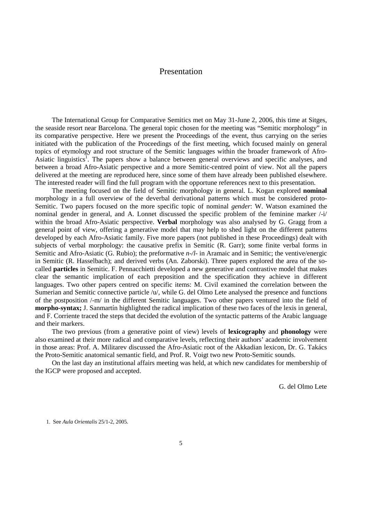# Presentation

The International Group for Comparative Semitics met on May 31-June 2, 2006, this time at Sitges, the seaside resort near Barcelona. The general topic chosen for the meeting was "Semitic morphology" in its comparative perspective. Here we present the Proceedings of the event, thus carrying on the series initiated with the publication of the Proceedings of the first meeting, which focused mainly on general topics of etymology and root structure of the Semitic languages within the broader framework of Afro-Asiatic linguistics<sup>1</sup>. The papers show a balance between general overviews and specific analyses, and between a broad Afro-Asiatic perspective and a more Semitic-centred point of view. Not all the papers delivered at the meeting are reproduced here, since some of them have already been published elsewhere. The interested reader will find the full program with the opportune references next to this presentation.

The meeting focused on the field of Semitic morphology in general. L. Kogan explored **nominal** morphology in a full overview of the deverbal derivational patterns which must be considered proto-Semitic. Two papers focused on the more specific topic of nominal *gender*: W. Watson examined the nominal gender in general, and A. Lonnet discussed the specific problem of the feminine marker /-i/ within the broad Afro-Asiatic perspective. **Verbal** morphology was also analysed by G. Gragg from a general point of view, offering a generative model that may help to shed light on the different patterns developed by each Afro-Asiatic family. Five more papers (not published in these Proceedings) dealt with subjects of verbal morphology: the causative prefix in Semitic (R. Garr); some finite verbal forms in Semitic and Afro-Asiatic (G. Rubio); the preformative *n-/l-* in Aramaic and in Semitic; the ventive/energic in Semitic (R. Hasselbach); and derived verbs (An. Zaborski). Three papers explored the area of the socalled **particles** in Semitic. F. Pennacchietti developed a new generative and contrastive model that makes clear the semantic implication of each preposition and the specification they achieve in different languages. Two other papers centred on specific items: M. Civil examined the correlation between the Sumerian and Semitic connective particle /u/, while G. del Olmo Lete analysed the presence and functions of the postposition /-m/ in the different Semitic languages. Two other papers ventured into the field of **morpho-syntax;** J. Sanmartín highlighted the radical implication of these two faces of the lexis in general, and F. Corriente traced the steps that decided the evolution of the syntactic patterns of the Arabic language and their markers.

The two previous (from a generative point of view) levels of **lexicography** and **phonology** were also examined at their more radical and comparative levels, reflecting their authors' academic involvement in those areas: Prof. A. Militarev discussed the Afro-Asiatic root of the Akkadian lexicon, Dr. G. Takács the Proto-Semitic anatomical semantic field, and Prof. R. Voigt two new Proto-Semitic sounds.

On the last day an institutional affairs meeting was held, at which new candidates for membership of the IGCP were proposed and accepted.

G. del Olmo Lete

1. See *Aula Orientalis* 25/1-2, 2005.